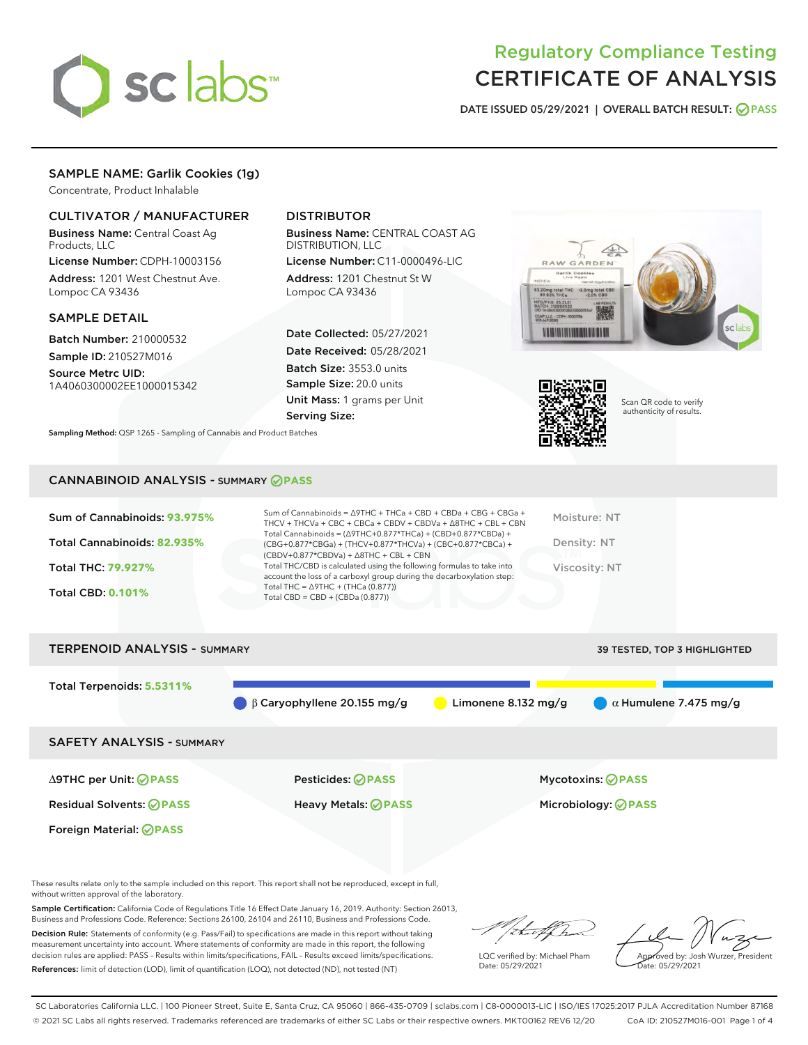

# Regulatory Compliance Testing CERTIFICATE OF ANALYSIS

DATE ISSUED 05/29/2021 | OVERALL BATCH RESULT: @ PASS

# SAMPLE NAME: Garlik Cookies (1g)

Concentrate, Product Inhalable

# CULTIVATOR / MANUFACTURER

Business Name: Central Coast Ag Products, LLC

License Number: CDPH-10003156 Address: 1201 West Chestnut Ave. Lompoc CA 93436

### SAMPLE DETAIL

Batch Number: 210000532 Sample ID: 210527M016

Source Metrc UID: 1A4060300002EE1000015342

# DISTRIBUTOR

Business Name: CENTRAL COAST AG DISTRIBUTION, LLC

License Number: C11-0000496-LIC Address: 1201 Chestnut St W Lompoc CA 93436

Date Collected: 05/27/2021 Date Received: 05/28/2021 Batch Size: 3553.0 units Sample Size: 20.0 units Unit Mass: 1 grams per Unit Serving Size:

Sampling Method: QSP 1265 - Sampling of Cannabis and Product Batches





Scan QR code to verify authenticity of results.

# CANNABINOID ANALYSIS - SUMMARY **PASS**

| Sum of Cannabinoids: 93.975% | Sum of Cannabinoids = $\triangle$ 9THC + THCa + CBD + CBDa + CBG + CBGa +<br>THCV + THCVa + CBC + CBCa + CBDV + CBDVa + $\Delta$ 8THC + CBL + CBN                                    | Moisture: NT         |
|------------------------------|--------------------------------------------------------------------------------------------------------------------------------------------------------------------------------------|----------------------|
| Total Cannabinoids: 82.935%  | Total Cannabinoids = $(\Delta$ 9THC+0.877*THCa) + (CBD+0.877*CBDa) +<br>(CBG+0.877*CBGa) + (THCV+0.877*THCVa) + (CBC+0.877*CBCa) +<br>$(CBDV+0.877*CBDVa) + \Delta 8THC + CBL + CBN$ | Density: NT          |
| <b>Total THC: 79.927%</b>    | Total THC/CBD is calculated using the following formulas to take into<br>account the loss of a carboxyl group during the decarboxylation step:                                       | <b>Viscosity: NT</b> |
| <b>Total CBD: 0.101%</b>     | Total THC = $\triangle$ 9THC + (THCa (0.877))<br>Total CBD = $CBD + (CBDa (0.877))$                                                                                                  |                      |
|                              |                                                                                                                                                                                      |                      |

TERPENOID ANALYSIS - SUMMARY 39 TESTED, TOP 3 HIGHLIGHTED

Total Terpenoids: **5.5311%** β Caryophyllene 20.155 mg/g **b** Limonene 8.132 mg/g  $\alpha$  Humulene 7.475 mg/g SAFETY ANALYSIS - SUMMARY ∆9THC per Unit: **PASS** Pesticides: **PASS** Mycotoxins: **PASS** Residual Solvents: **PASS** Heavy Metals: **PASS** Microbiology: **PASS**

Foreign Material: **PASS**

These results relate only to the sample included on this report. This report shall not be reproduced, except in full, without written approval of the laboratory.

Sample Certification: California Code of Regulations Title 16 Effect Date January 16, 2019. Authority: Section 26013, Business and Professions Code. Reference: Sections 26100, 26104 and 26110, Business and Professions Code.

Decision Rule: Statements of conformity (e.g. Pass/Fail) to specifications are made in this report without taking measurement uncertainty into account. Where statements of conformity are made in this report, the following decision rules are applied: PASS – Results within limits/specifications, FAIL – Results exceed limits/specifications. References: limit of detection (LOD), limit of quantification (LOQ), not detected (ND), not tested (NT)

that fCh

LQC verified by: Michael Pham Date: 05/29/2021

Approved by: Josh Wurzer, President ate: 05/29/2021

SC Laboratories California LLC. | 100 Pioneer Street, Suite E, Santa Cruz, CA 95060 | 866-435-0709 | sclabs.com | C8-0000013-LIC | ISO/IES 17025:2017 PJLA Accreditation Number 87168 © 2021 SC Labs all rights reserved. Trademarks referenced are trademarks of either SC Labs or their respective owners. MKT00162 REV6 12/20 CoA ID: 210527M016-001 Page 1 of 4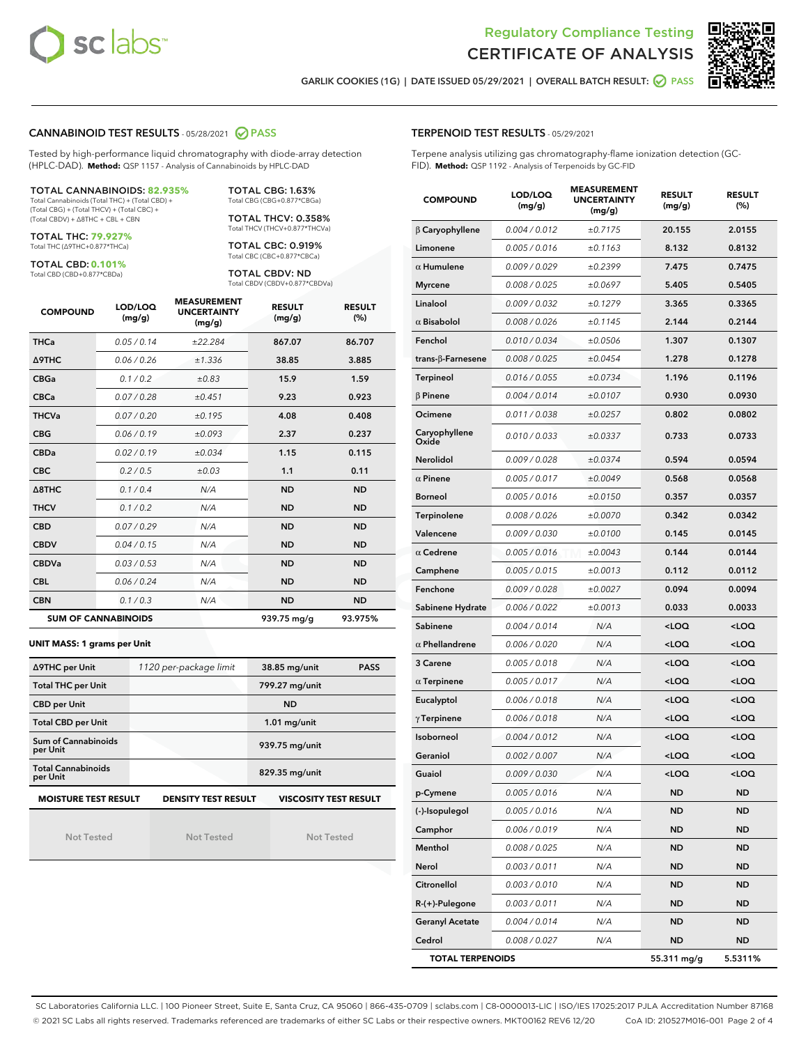



GARLIK COOKIES (1G) | DATE ISSUED 05/29/2021 | OVERALL BATCH RESULT: **O PASS** 

#### CANNABINOID TEST RESULTS - 05/28/2021 2 PASS

Tested by high-performance liquid chromatography with diode-array detection (HPLC-DAD). **Method:** QSP 1157 - Analysis of Cannabinoids by HPLC-DAD

#### TOTAL CANNABINOIDS: **82.935%**

Total Cannabinoids (Total THC) + (Total CBD) + (Total CBG) + (Total THCV) + (Total CBC) + (Total CBDV) + ∆8THC + CBL + CBN

TOTAL THC: **79.927%** Total THC (∆9THC+0.877\*THCa)

TOTAL CBD: **0.101%**

Total CBD (CBD+0.877\*CBDa)

TOTAL CBG: 1.63% Total CBG (CBG+0.877\*CBGa)

TOTAL THCV: 0.358% Total THCV (THCV+0.877\*THCVa)

TOTAL CBC: 0.919% Total CBC (CBC+0.877\*CBCa)

TOTAL CBDV: ND Total CBDV (CBDV+0.877\*CBDVa)

| <b>COMPOUND</b>  | LOD/LOQ<br>(mg/g)          | <b>MEASUREMENT</b><br><b>UNCERTAINTY</b><br>(mg/g) | <b>RESULT</b><br>(mg/g) | <b>RESULT</b><br>(%) |
|------------------|----------------------------|----------------------------------------------------|-------------------------|----------------------|
| <b>THCa</b>      | 0.05/0.14                  | ±22.284                                            | 867.07                  | 86.707               |
| <b>A9THC</b>     | 0.06 / 0.26                | ±1.336                                             | 38.85                   | 3.885                |
| <b>CBGa</b>      | 0.1/0.2                    | ±0.83                                              | 15.9                    | 1.59                 |
| <b>CBCa</b>      | 0.07/0.28                  | ±0.451                                             | 9.23                    | 0.923                |
| <b>THCVa</b>     | 0.07/0.20                  | ±0.195                                             | 4.08                    | 0.408                |
| <b>CBG</b>       | 0.06/0.19                  | ±0.093                                             | 2.37                    | 0.237                |
| <b>CBDa</b>      | 0.02/0.19                  | ±0.034                                             | 1.15                    | 0.115                |
| <b>CBC</b>       | 0.2 / 0.5                  | ±0.03                                              | 1.1                     | 0.11                 |
| $\triangle$ 8THC | 0.1/0.4                    | N/A                                                | <b>ND</b>               | <b>ND</b>            |
| <b>THCV</b>      | 0.1/0.2                    | N/A                                                | <b>ND</b>               | <b>ND</b>            |
| <b>CBD</b>       | 0.07/0.29                  | N/A                                                | <b>ND</b>               | <b>ND</b>            |
| <b>CBDV</b>      | 0.04/0.15                  | N/A                                                | <b>ND</b>               | <b>ND</b>            |
| <b>CBDVa</b>     | 0.03/0.53                  | N/A                                                | <b>ND</b>               | <b>ND</b>            |
| <b>CBL</b>       | 0.06 / 0.24                | N/A                                                | <b>ND</b>               | <b>ND</b>            |
| <b>CBN</b>       | 0.1/0.3                    | N/A                                                | <b>ND</b>               | <b>ND</b>            |
|                  | <b>SUM OF CANNABINOIDS</b> |                                                    | 939.75 mg/g             | 93.975%              |

#### **UNIT MASS: 1 grams per Unit**

| ∆9THC per Unit                        | 1120 per-package limit     | 38.85 mg/unit<br><b>PASS</b> |  |
|---------------------------------------|----------------------------|------------------------------|--|
| <b>Total THC per Unit</b>             |                            | 799.27 mg/unit               |  |
| <b>CBD per Unit</b>                   |                            | <b>ND</b>                    |  |
| <b>Total CBD per Unit</b>             |                            | $1.01$ mg/unit               |  |
| Sum of Cannabinoids<br>per Unit       |                            | 939.75 mg/unit               |  |
| <b>Total Cannabinoids</b><br>per Unit |                            | 829.35 mg/unit               |  |
| <b>MOISTURE TEST RESULT</b>           | <b>DENSITY TEST RESULT</b> | <b>VISCOSITY TEST RESULT</b> |  |

Not Tested

Not Tested

Not Tested

#### TERPENOID TEST RESULTS - 05/29/2021

Terpene analysis utilizing gas chromatography-flame ionization detection (GC-FID). **Method:** QSP 1192 - Analysis of Terpenoids by GC-FID

| <b>COMPOUND</b>         | LOD/LOQ<br>(mg/g) | <b>MEASUREMENT</b><br><b>UNCERTAINTY</b><br>(mg/g) | <b>RESULT</b><br>(mg/g)                         | <b>RESULT</b><br>$(\%)$ |
|-------------------------|-------------------|----------------------------------------------------|-------------------------------------------------|-------------------------|
| $\beta$ Caryophyllene   | 0.004 / 0.012     | ±0.7175                                            | 20.155                                          | 2.0155                  |
| Limonene                | 0.005 / 0.016     | ±0.1163                                            | 8.132                                           | 0.8132                  |
| $\alpha$ Humulene       | 0.009/0.029       | ±0.2399                                            | 7.475                                           | 0.7475                  |
| <b>Myrcene</b>          | 0.008 / 0.025     | ±0.0697                                            | 5.405                                           | 0.5405                  |
| Linalool                | 0.009 / 0.032     | ±0.1279                                            | 3.365                                           | 0.3365                  |
| $\alpha$ Bisabolol      | 0.008 / 0.026     | ±0.1145                                            | 2.144                                           | 0.2144                  |
| Fenchol                 | 0.010 / 0.034     | ±0.0506                                            | 1.307                                           | 0.1307                  |
| trans-ß-Farnesene       | 0.008 / 0.025     | ±0.0454                                            | 1.278                                           | 0.1278                  |
| Terpineol               | 0.016 / 0.055     | ±0.0734                                            | 1.196                                           | 0.1196                  |
| $\beta$ Pinene          | 0.004 / 0.014     | ±0.0107                                            | 0.930                                           | 0.0930                  |
| Ocimene                 | 0.011 / 0.038     | ±0.0257                                            | 0.802                                           | 0.0802                  |
| Caryophyllene<br>Oxide  | 0.010 / 0.033     | ±0.0337                                            | 0.733                                           | 0.0733                  |
| <b>Nerolidol</b>        | 0.009 / 0.028     | ±0.0374                                            | 0.594                                           | 0.0594                  |
| $\alpha$ Pinene         | 0.005 / 0.017     | ±0.0049                                            | 0.568                                           | 0.0568                  |
| <b>Borneol</b>          | 0.005 / 0.016     | ±0.0150                                            | 0.357                                           | 0.0357                  |
| Terpinolene             | 0.008 / 0.026     | ±0.0070                                            | 0.342                                           | 0.0342                  |
| Valencene               | 0.009 / 0.030     | ±0.0100                                            | 0.145                                           | 0.0145                  |
| $\alpha$ Cedrene        | 0.005 / 0.016     | ±0.0043                                            | 0.144                                           | 0.0144                  |
| Camphene                | 0.005 / 0.015     | ±0.0013                                            | 0.112                                           | 0.0112                  |
| Fenchone                | 0.009 / 0.028     | ±0.0027                                            | 0.094                                           | 0.0094                  |
| Sabinene Hydrate        | 0.006 / 0.022     | ±0.0013                                            | 0.033                                           | 0.0033                  |
| Sabinene                | 0.004 / 0.014     | N/A                                                | <loq< th=""><th><loq< th=""></loq<></th></loq<> | <loq< th=""></loq<>     |
| $\alpha$ Phellandrene   | 0.006 / 0.020     | N/A                                                | <loq< th=""><th><loq< th=""></loq<></th></loq<> | <loq< th=""></loq<>     |
| 3 Carene                | 0.005 / 0.018     | N/A                                                | <loq< th=""><th><loq< th=""></loq<></th></loq<> | <loq< th=""></loq<>     |
| $\alpha$ Terpinene      | 0.005 / 0.017     | N/A                                                | <loq< th=""><th><loq< th=""></loq<></th></loq<> | <loq< th=""></loq<>     |
| Eucalyptol              | 0.006 / 0.018     | N/A                                                | <loq< th=""><th><loq< th=""></loq<></th></loq<> | <loq< th=""></loq<>     |
| $\gamma$ Terpinene      | 0.006 / 0.018     | N/A                                                | <loq< th=""><th><loq< th=""></loq<></th></loq<> | <loq< th=""></loq<>     |
| Isoborneol              | 0.004 / 0.012     | N/A                                                | <loq< th=""><th><loq< th=""></loq<></th></loq<> | <loq< th=""></loq<>     |
| Geraniol                | 0.002 / 0.007     | N/A                                                | <loq< th=""><th><loq< th=""></loq<></th></loq<> | <loq< th=""></loq<>     |
| Guaiol                  | 0.009 / 0.030     | N/A                                                | <loq< th=""><th><loq< th=""></loq<></th></loq<> | <loq< th=""></loq<>     |
| p-Cymene                | 0.005 / 0.016     | N/A                                                | ND                                              | <b>ND</b>               |
| (-)-Isopulegol          | 0.005 / 0.016     | N/A                                                | ND                                              | ND                      |
| Camphor                 | 0.006 / 0.019     | N/A                                                | ND                                              | <b>ND</b>               |
| Menthol                 | 0.008 / 0.025     | N/A                                                | ND                                              | <b>ND</b>               |
| Nerol                   | 0.003 / 0.011     | N/A                                                | ND                                              | ND                      |
| Citronellol             | 0.003 / 0.010     | N/A                                                | ND                                              | ND                      |
| R-(+)-Pulegone          | 0.003 / 0.011     | N/A                                                | ND                                              | <b>ND</b>               |
| <b>Geranyl Acetate</b>  | 0.004 / 0.014     | N/A                                                | ND                                              | ND                      |
| Cedrol                  | 0.008 / 0.027     | N/A                                                | ND                                              | <b>ND</b>               |
| <b>TOTAL TERPENOIDS</b> |                   |                                                    | 55.311 mg/g                                     | 5.5311%                 |

SC Laboratories California LLC. | 100 Pioneer Street, Suite E, Santa Cruz, CA 95060 | 866-435-0709 | sclabs.com | C8-0000013-LIC | ISO/IES 17025:2017 PJLA Accreditation Number 87168 © 2021 SC Labs all rights reserved. Trademarks referenced are trademarks of either SC Labs or their respective owners. MKT00162 REV6 12/20 CoA ID: 210527M016-001 Page 2 of 4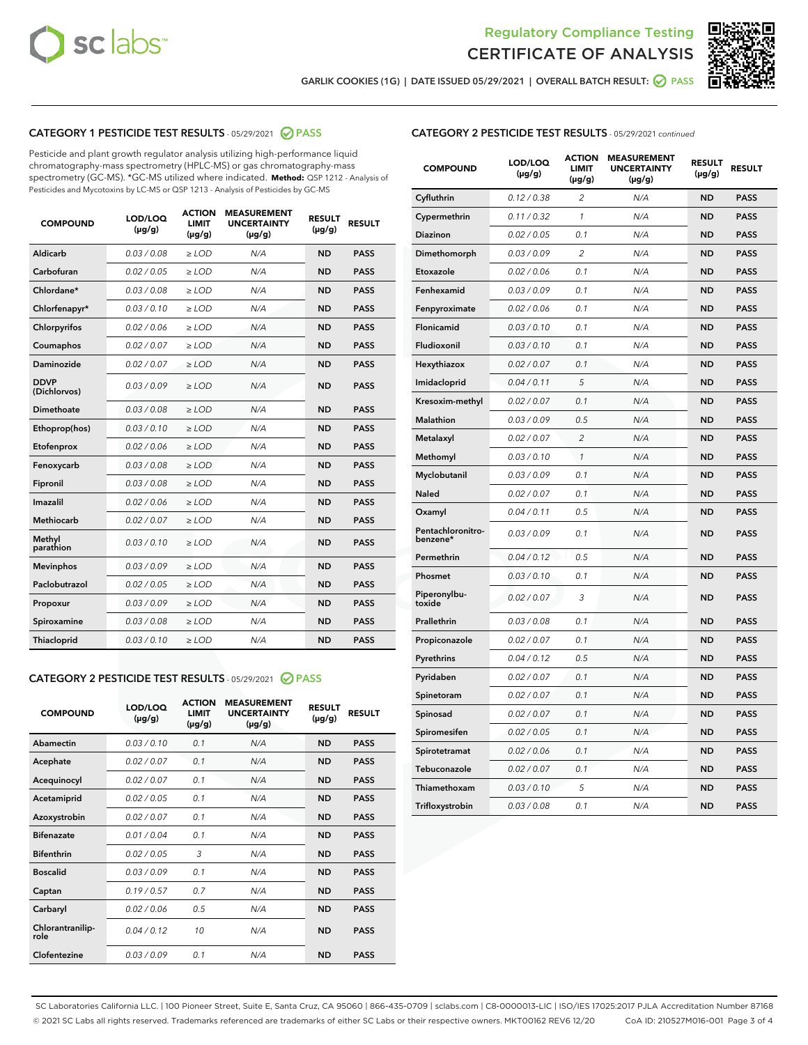



GARLIK COOKIES (1G) | DATE ISSUED 05/29/2021 | OVERALL BATCH RESULT: @ PASS

# CATEGORY 1 PESTICIDE TEST RESULTS - 05/29/2021 2 PASS

Pesticide and plant growth regulator analysis utilizing high-performance liquid chromatography-mass spectrometry (HPLC-MS) or gas chromatography-mass spectrometry (GC-MS). \*GC-MS utilized where indicated. **Method:** QSP 1212 - Analysis of Pesticides and Mycotoxins by LC-MS or QSP 1213 - Analysis of Pesticides by GC-MS

| <b>Aldicarb</b><br>0.03 / 0.08<br><b>ND</b><br>$\ge$ LOD<br>N/A<br><b>PASS</b><br>Carbofuran<br>0.02/0.05<br>$\ge$ LOD<br>N/A<br><b>ND</b><br><b>PASS</b><br>Chlordane*<br>0.03 / 0.08<br><b>ND</b><br>$>$ LOD<br>N/A<br><b>PASS</b><br>0.03/0.10<br><b>ND</b><br><b>PASS</b><br>Chlorfenapyr*<br>$\geq$ LOD<br>N/A<br>0.02 / 0.06<br>N/A<br><b>ND</b><br><b>PASS</b><br>Chlorpyrifos<br>$\geq$ LOD<br>0.02 / 0.07<br>N/A<br><b>ND</b><br><b>PASS</b><br>Coumaphos<br>$>$ LOD<br>Daminozide<br>0.02 / 0.07<br>$\ge$ LOD<br>N/A<br><b>ND</b><br><b>PASS</b><br><b>DDVP</b><br>0.03/0.09<br>$\ge$ LOD<br>N/A<br><b>ND</b><br><b>PASS</b><br>(Dichlorvos)<br>Dimethoate<br><b>ND</b><br><b>PASS</b><br>0.03/0.08<br>$>$ LOD<br>N/A<br>Ethoprop(hos)<br>0.03/0.10<br>$\ge$ LOD<br>N/A<br><b>ND</b><br><b>PASS</b><br>0.02/0.06<br>$\ge$ LOD<br>N/A<br><b>ND</b><br><b>PASS</b><br>Etofenprox<br>Fenoxycarb<br>0.03/0.08<br>$>$ LOD<br>N/A<br><b>ND</b><br><b>PASS</b><br>0.03/0.08<br><b>ND</b><br><b>PASS</b><br>Fipronil<br>$\ge$ LOD<br>N/A<br>Imazalil<br>0.02 / 0.06<br>$>$ LOD<br>N/A<br><b>ND</b><br><b>PASS</b><br>0.02 / 0.07<br>Methiocarb<br>N/A<br><b>ND</b><br>$>$ LOD<br><b>PASS</b><br>Methyl<br>0.03/0.10<br>$\ge$ LOD<br>N/A<br><b>ND</b><br><b>PASS</b><br>parathion<br>0.03/0.09<br>$\ge$ LOD<br>N/A<br><b>ND</b><br><b>PASS</b><br><b>Mevinphos</b><br>Paclobutrazol<br>0.02 / 0.05<br>$\ge$ LOD<br>N/A<br><b>ND</b><br><b>PASS</b><br>0.03/0.09<br>N/A<br>$\ge$ LOD<br><b>ND</b><br><b>PASS</b><br>Propoxur<br>0.03/0.08<br><b>ND</b><br><b>PASS</b><br>Spiroxamine<br>$\ge$ LOD<br>N/A<br><b>PASS</b><br>Thiacloprid<br>0.03/0.10<br>$\ge$ LOD<br>N/A<br><b>ND</b> | <b>COMPOUND</b> | LOD/LOQ<br>$(\mu g/g)$ | <b>ACTION</b><br>LIMIT<br>$(\mu g/g)$ | <b>MEASUREMENT</b><br><b>UNCERTAINTY</b><br>$(\mu g/g)$ | <b>RESULT</b><br>$(\mu g/g)$ | <b>RESULT</b> |
|--------------------------------------------------------------------------------------------------------------------------------------------------------------------------------------------------------------------------------------------------------------------------------------------------------------------------------------------------------------------------------------------------------------------------------------------------------------------------------------------------------------------------------------------------------------------------------------------------------------------------------------------------------------------------------------------------------------------------------------------------------------------------------------------------------------------------------------------------------------------------------------------------------------------------------------------------------------------------------------------------------------------------------------------------------------------------------------------------------------------------------------------------------------------------------------------------------------------------------------------------------------------------------------------------------------------------------------------------------------------------------------------------------------------------------------------------------------------------------------------------------------------------------------------------------------------------------------------------------------------------------------------------------------------------------------|-----------------|------------------------|---------------------------------------|---------------------------------------------------------|------------------------------|---------------|
|                                                                                                                                                                                                                                                                                                                                                                                                                                                                                                                                                                                                                                                                                                                                                                                                                                                                                                                                                                                                                                                                                                                                                                                                                                                                                                                                                                                                                                                                                                                                                                                                                                                                                      |                 |                        |                                       |                                                         |                              |               |
|                                                                                                                                                                                                                                                                                                                                                                                                                                                                                                                                                                                                                                                                                                                                                                                                                                                                                                                                                                                                                                                                                                                                                                                                                                                                                                                                                                                                                                                                                                                                                                                                                                                                                      |                 |                        |                                       |                                                         |                              |               |
|                                                                                                                                                                                                                                                                                                                                                                                                                                                                                                                                                                                                                                                                                                                                                                                                                                                                                                                                                                                                                                                                                                                                                                                                                                                                                                                                                                                                                                                                                                                                                                                                                                                                                      |                 |                        |                                       |                                                         |                              |               |
|                                                                                                                                                                                                                                                                                                                                                                                                                                                                                                                                                                                                                                                                                                                                                                                                                                                                                                                                                                                                                                                                                                                                                                                                                                                                                                                                                                                                                                                                                                                                                                                                                                                                                      |                 |                        |                                       |                                                         |                              |               |
|                                                                                                                                                                                                                                                                                                                                                                                                                                                                                                                                                                                                                                                                                                                                                                                                                                                                                                                                                                                                                                                                                                                                                                                                                                                                                                                                                                                                                                                                                                                                                                                                                                                                                      |                 |                        |                                       |                                                         |                              |               |
|                                                                                                                                                                                                                                                                                                                                                                                                                                                                                                                                                                                                                                                                                                                                                                                                                                                                                                                                                                                                                                                                                                                                                                                                                                                                                                                                                                                                                                                                                                                                                                                                                                                                                      |                 |                        |                                       |                                                         |                              |               |
|                                                                                                                                                                                                                                                                                                                                                                                                                                                                                                                                                                                                                                                                                                                                                                                                                                                                                                                                                                                                                                                                                                                                                                                                                                                                                                                                                                                                                                                                                                                                                                                                                                                                                      |                 |                        |                                       |                                                         |                              |               |
|                                                                                                                                                                                                                                                                                                                                                                                                                                                                                                                                                                                                                                                                                                                                                                                                                                                                                                                                                                                                                                                                                                                                                                                                                                                                                                                                                                                                                                                                                                                                                                                                                                                                                      |                 |                        |                                       |                                                         |                              |               |
|                                                                                                                                                                                                                                                                                                                                                                                                                                                                                                                                                                                                                                                                                                                                                                                                                                                                                                                                                                                                                                                                                                                                                                                                                                                                                                                                                                                                                                                                                                                                                                                                                                                                                      |                 |                        |                                       |                                                         |                              |               |
|                                                                                                                                                                                                                                                                                                                                                                                                                                                                                                                                                                                                                                                                                                                                                                                                                                                                                                                                                                                                                                                                                                                                                                                                                                                                                                                                                                                                                                                                                                                                                                                                                                                                                      |                 |                        |                                       |                                                         |                              |               |
|                                                                                                                                                                                                                                                                                                                                                                                                                                                                                                                                                                                                                                                                                                                                                                                                                                                                                                                                                                                                                                                                                                                                                                                                                                                                                                                                                                                                                                                                                                                                                                                                                                                                                      |                 |                        |                                       |                                                         |                              |               |
|                                                                                                                                                                                                                                                                                                                                                                                                                                                                                                                                                                                                                                                                                                                                                                                                                                                                                                                                                                                                                                                                                                                                                                                                                                                                                                                                                                                                                                                                                                                                                                                                                                                                                      |                 |                        |                                       |                                                         |                              |               |
|                                                                                                                                                                                                                                                                                                                                                                                                                                                                                                                                                                                                                                                                                                                                                                                                                                                                                                                                                                                                                                                                                                                                                                                                                                                                                                                                                                                                                                                                                                                                                                                                                                                                                      |                 |                        |                                       |                                                         |                              |               |
|                                                                                                                                                                                                                                                                                                                                                                                                                                                                                                                                                                                                                                                                                                                                                                                                                                                                                                                                                                                                                                                                                                                                                                                                                                                                                                                                                                                                                                                                                                                                                                                                                                                                                      |                 |                        |                                       |                                                         |                              |               |
|                                                                                                                                                                                                                                                                                                                                                                                                                                                                                                                                                                                                                                                                                                                                                                                                                                                                                                                                                                                                                                                                                                                                                                                                                                                                                                                                                                                                                                                                                                                                                                                                                                                                                      |                 |                        |                                       |                                                         |                              |               |
|                                                                                                                                                                                                                                                                                                                                                                                                                                                                                                                                                                                                                                                                                                                                                                                                                                                                                                                                                                                                                                                                                                                                                                                                                                                                                                                                                                                                                                                                                                                                                                                                                                                                                      |                 |                        |                                       |                                                         |                              |               |
|                                                                                                                                                                                                                                                                                                                                                                                                                                                                                                                                                                                                                                                                                                                                                                                                                                                                                                                                                                                                                                                                                                                                                                                                                                                                                                                                                                                                                                                                                                                                                                                                                                                                                      |                 |                        |                                       |                                                         |                              |               |
|                                                                                                                                                                                                                                                                                                                                                                                                                                                                                                                                                                                                                                                                                                                                                                                                                                                                                                                                                                                                                                                                                                                                                                                                                                                                                                                                                                                                                                                                                                                                                                                                                                                                                      |                 |                        |                                       |                                                         |                              |               |
|                                                                                                                                                                                                                                                                                                                                                                                                                                                                                                                                                                                                                                                                                                                                                                                                                                                                                                                                                                                                                                                                                                                                                                                                                                                                                                                                                                                                                                                                                                                                                                                                                                                                                      |                 |                        |                                       |                                                         |                              |               |
|                                                                                                                                                                                                                                                                                                                                                                                                                                                                                                                                                                                                                                                                                                                                                                                                                                                                                                                                                                                                                                                                                                                                                                                                                                                                                                                                                                                                                                                                                                                                                                                                                                                                                      |                 |                        |                                       |                                                         |                              |               |
|                                                                                                                                                                                                                                                                                                                                                                                                                                                                                                                                                                                                                                                                                                                                                                                                                                                                                                                                                                                                                                                                                                                                                                                                                                                                                                                                                                                                                                                                                                                                                                                                                                                                                      |                 |                        |                                       |                                                         |                              |               |

#### CATEGORY 2 PESTICIDE TEST RESULTS - 05/29/2021 @ PASS

| <b>COMPOUND</b>          | LOD/LOQ<br>$(\mu g/g)$ | <b>ACTION</b><br><b>LIMIT</b><br>$(\mu g/g)$ | <b>MEASUREMENT</b><br><b>UNCERTAINTY</b><br>$(\mu g/g)$ | <b>RESULT</b><br>$(\mu g/g)$ | <b>RESULT</b> |
|--------------------------|------------------------|----------------------------------------------|---------------------------------------------------------|------------------------------|---------------|
| Abamectin                | 0.03/0.10              | 0.1                                          | N/A                                                     | <b>ND</b>                    | <b>PASS</b>   |
| Acephate                 | 0.02/0.07              | 0.1                                          | N/A                                                     | <b>ND</b>                    | <b>PASS</b>   |
| Acequinocyl              | 0.02/0.07              | 0.1                                          | N/A                                                     | <b>ND</b>                    | <b>PASS</b>   |
| Acetamiprid              | 0.02/0.05              | 0.1                                          | N/A                                                     | <b>ND</b>                    | <b>PASS</b>   |
| Azoxystrobin             | 0.02/0.07              | 0.1                                          | N/A                                                     | <b>ND</b>                    | <b>PASS</b>   |
| <b>Bifenazate</b>        | 0.01/0.04              | 0.1                                          | N/A                                                     | <b>ND</b>                    | <b>PASS</b>   |
| <b>Bifenthrin</b>        | 0.02/0.05              | 3                                            | N/A                                                     | <b>ND</b>                    | <b>PASS</b>   |
| <b>Boscalid</b>          | 0.03/0.09              | 0.1                                          | N/A                                                     | <b>ND</b>                    | <b>PASS</b>   |
| Captan                   | 0.19/0.57              | 0.7                                          | N/A                                                     | <b>ND</b>                    | <b>PASS</b>   |
| Carbaryl                 | 0.02/0.06              | 0.5                                          | N/A                                                     | <b>ND</b>                    | <b>PASS</b>   |
| Chlorantranilip-<br>role | 0.04/0.12              | 10                                           | N/A                                                     | <b>ND</b>                    | <b>PASS</b>   |
| Clofentezine             | 0.03/0.09              | 0.1                                          | N/A                                                     | <b>ND</b>                    | <b>PASS</b>   |

| <b>CATEGORY 2 PESTICIDE TEST RESULTS</b> - 05/29/2021 continued |  |
|-----------------------------------------------------------------|--|
|                                                                 |  |

| <b>COMPOUND</b>               | LOD/LOQ<br>(µg/g) | <b>ACTION</b><br>LIMIT<br>(µg/g) | <b>MEASUREMENT</b><br><b>UNCERTAINTY</b><br>(µg/g) | <b>RESULT</b><br>(µg/g) | <b>RESULT</b> |
|-------------------------------|-------------------|----------------------------------|----------------------------------------------------|-------------------------|---------------|
| Cyfluthrin                    | 0.12 / 0.38       | $\overline{c}$                   | N/A                                                | <b>ND</b>               | <b>PASS</b>   |
| Cypermethrin                  | 0.11/0.32         | 1                                | N/A                                                | <b>ND</b>               | <b>PASS</b>   |
| <b>Diazinon</b>               | 0.02 / 0.05       | 0.1                              | N/A                                                | <b>ND</b>               | <b>PASS</b>   |
| Dimethomorph                  | 0.03 / 0.09       | 2                                | N/A                                                | <b>ND</b>               | <b>PASS</b>   |
| Etoxazole                     | 0.02 / 0.06       | 0.1                              | N/A                                                | <b>ND</b>               | <b>PASS</b>   |
| Fenhexamid                    | 0.03 / 0.09       | 0.1                              | N/A                                                | <b>ND</b>               | <b>PASS</b>   |
| Fenpyroximate                 | 0.02 / 0.06       | 0.1                              | N/A                                                | <b>ND</b>               | <b>PASS</b>   |
| Flonicamid                    | 0.03 / 0.10       | 0.1                              | N/A                                                | <b>ND</b>               | <b>PASS</b>   |
| Fludioxonil                   | 0.03/0.10         | 0.1                              | N/A                                                | <b>ND</b>               | <b>PASS</b>   |
| Hexythiazox                   | 0.02 / 0.07       | 0.1                              | N/A                                                | <b>ND</b>               | <b>PASS</b>   |
| Imidacloprid                  | 0.04 / 0.11       | 5                                | N/A                                                | <b>ND</b>               | <b>PASS</b>   |
| Kresoxim-methyl               | 0.02 / 0.07       | 0.1                              | N/A                                                | <b>ND</b>               | <b>PASS</b>   |
| Malathion                     | 0.03 / 0.09       | 0.5                              | N/A                                                | <b>ND</b>               | <b>PASS</b>   |
| Metalaxyl                     | 0.02 / 0.07       | $\overline{c}$                   | N/A                                                | <b>ND</b>               | <b>PASS</b>   |
| Methomyl                      | 0.03 / 0.10       | 1                                | N/A                                                | <b>ND</b>               | <b>PASS</b>   |
| Myclobutanil                  | 0.03/0.09         | 0.1                              | N/A                                                | <b>ND</b>               | <b>PASS</b>   |
| Naled                         | 0.02 / 0.07       | 0.1                              | N/A                                                | <b>ND</b>               | <b>PASS</b>   |
| Oxamyl                        | 0.04 / 0.11       | 0.5                              | N/A                                                | <b>ND</b>               | <b>PASS</b>   |
| Pentachloronitro-<br>benzene* | 0.03/0.09         | 0.1                              | N/A                                                | <b>ND</b>               | <b>PASS</b>   |
| Permethrin                    | 0.04 / 0.12       | 0.5                              | N/A                                                | <b>ND</b>               | <b>PASS</b>   |
| Phosmet                       | 0.03 / 0.10       | 0.1                              | N/A                                                | <b>ND</b>               | <b>PASS</b>   |
| Piperonylbu-<br>toxide        | 0.02 / 0.07       | 3                                | N/A                                                | <b>ND</b>               | <b>PASS</b>   |
| Prallethrin                   | 0.03 / 0.08       | 0.1                              | N/A                                                | <b>ND</b>               | <b>PASS</b>   |
| Propiconazole                 | 0.02 / 0.07       | 0.1                              | N/A                                                | <b>ND</b>               | <b>PASS</b>   |
| Pyrethrins                    | 0.04 / 0.12       | 0.5                              | N/A                                                | <b>ND</b>               | <b>PASS</b>   |
| Pyridaben                     | 0.02 / 0.07       | 0.1                              | N/A                                                | <b>ND</b>               | <b>PASS</b>   |
| Spinetoram                    | 0.02 / 0.07       | 0.1                              | N/A                                                | <b>ND</b>               | <b>PASS</b>   |
| Spinosad                      | 0.02 / 0.07       | 0.1                              | N/A                                                | <b>ND</b>               | <b>PASS</b>   |
| Spiromesifen                  | 0.02 / 0.05       | 0.1                              | N/A                                                | <b>ND</b>               | <b>PASS</b>   |
| Spirotetramat                 | 0.02 / 0.06       | 0.1                              | N/A                                                | <b>ND</b>               | <b>PASS</b>   |
| Tebuconazole                  | 0.02 / 0.07       | 0.1                              | N/A                                                | <b>ND</b>               | <b>PASS</b>   |
| Thiamethoxam                  | 0.03 / 0.10       | 5                                | N/A                                                | <b>ND</b>               | <b>PASS</b>   |
| Trifloxystrobin               | 0.03 / 0.08       | 0.1                              | N/A                                                | <b>ND</b>               | <b>PASS</b>   |

SC Laboratories California LLC. | 100 Pioneer Street, Suite E, Santa Cruz, CA 95060 | 866-435-0709 | sclabs.com | C8-0000013-LIC | ISO/IES 17025:2017 PJLA Accreditation Number 87168 © 2021 SC Labs all rights reserved. Trademarks referenced are trademarks of either SC Labs or their respective owners. MKT00162 REV6 12/20 CoA ID: 210527M016-001 Page 3 of 4